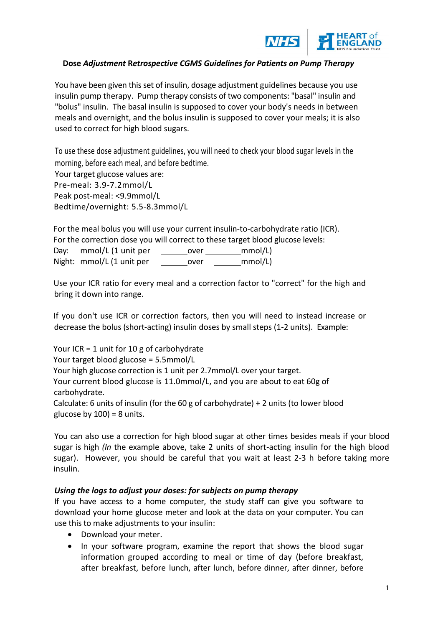

#### **Dose** *Adjustment* **R***etrospective CGMS Guidelines for Patients on Pump Therapy*

You have been given this set of insulin, dosage adjustment guidelines because you use insulin pump therapy. Pump therapy consists of two components: "basal" insulin and "bolus" insulin. The basal insulin is supposed to cover your body's needs in between meals and overnight, and the bolus insulin is supposed to cover your meals; it is also used to correct for high blood sugars.

To use these dose adjustment guidelines, you will need to check your blood sugar levels in the morning, before each meal, and before bedtime.

Your target glucose values are: Pre-meal: 3.9-7.2mmol/L Peak post-meal: <9.9mmol/L Bedtime/overnight: 5.5-8.3mmol/L

For the meal bolus you will use your current insulin-to-carbohydrate ratio (ICR). For the correction dose you will correct to these target blood glucose levels:

Day: mmol/L (1 unit per over mmol/L)

Night: mmol/L (1 unit per over mmol/L)

Use your ICR ratio for every meal and a correction factor to "correct" for the high and bring it down into range.

If you don't use ICR or correction factors, then you will need to instead increase or decrease the bolus (short-acting) insulin doses by small steps (1-2 units). Example:

Your ICR = 1 unit for 10 g of carbohydrate Your target blood glucose = 5.5mmol/L Your high glucose correction is 1 unit per 2.7mmol/L over your target. Your current blood glucose is 11.0mmol/L, and you are about to eat 60g of carbohydrate. Calculate: 6 units of insulin (for the  $60 g$  of carbohydrate) + 2 units (to lower blood glucose by  $100$ ) = 8 units.

You can also use a correction for high blood sugar at other times besides meals if your blood sugar is high *(In* the example above, take 2 units of short-acting insulin for the high blood sugar). However, you should be careful that you wait at least 2-3 h before taking more insulin.

#### *Using the logs to adjust your doses: for subjects on pump therapy*

If you have access to a home computer, the study staff can give you software to download your home glucose meter and look at the data on your computer. You can use this to make adjustments to your insulin:

- Download your meter.
- In your software program, examine the report that shows the blood sugar information grouped according to meal or time of day (before breakfast, after breakfast, before lunch, after lunch, before dinner, after dinner, before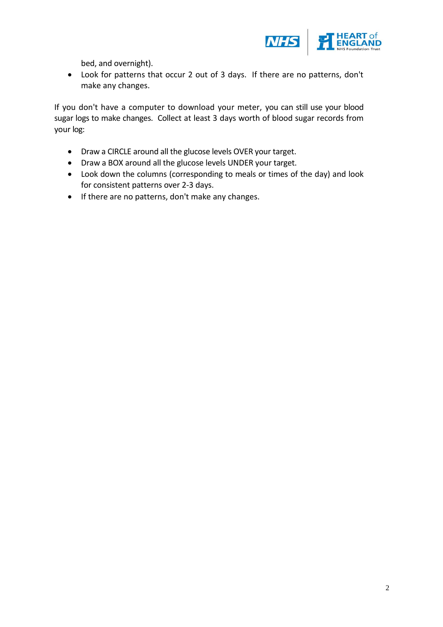

bed, and overnight).

 Look for patterns that occur 2 out of 3 days. If there are no patterns, don't make any changes.

If you don't have a computer to download your meter, you can still use your blood sugar logs to make changes. Collect at least 3 days worth of blood sugar records from your log:

- Draw a CIRCLE around all the glucose levels OVER your target.
- Draw a BOX around all the glucose levels UNDER your target.
- Look down the columns (corresponding to meals or times of the day) and look for consistent patterns over 2-3 days.
- If there are no patterns, don't make any changes.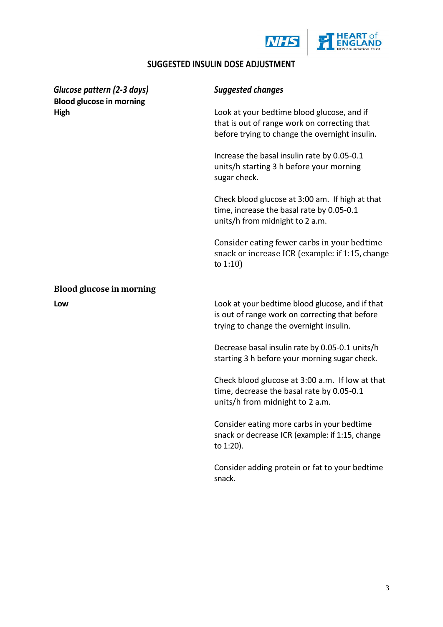



# **SUGGESTED INSULIN DOSE ADJUSTMENT**

| Glucose pattern (2-3 days)<br><b>Blood glucose in morning</b><br>High | <b>Suggested changes</b>                                                                                                                     |
|-----------------------------------------------------------------------|----------------------------------------------------------------------------------------------------------------------------------------------|
|                                                                       | Look at your bedtime blood glucose, and if<br>that is out of range work on correcting that<br>before trying to change the overnight insulin. |
|                                                                       | Increase the basal insulin rate by 0.05-0.1<br>units/h starting 3 h before your morning<br>sugar check.                                      |
|                                                                       | Check blood glucose at 3:00 am. If high at that<br>time, increase the basal rate by 0.05-0.1<br>units/h from midnight to 2 a.m.              |
|                                                                       | Consider eating fewer carbs in your bedtime<br>snack or increase ICR (example: if 1:15, change<br>to $1:10$                                  |
| <b>Blood glucose in morning</b>                                       |                                                                                                                                              |
| Low                                                                   | Look at your bedtime blood glucose, and if that<br>is out of range work on correcting that before<br>trying to change the overnight insulin. |
|                                                                       | Decrease basal insulin rate by 0.05-0.1 units/h<br>starting 3 h before your morning sugar check.                                             |
|                                                                       | Check blood glucose at 3:00 a.m. If low at that<br>time, decrease the basal rate by 0.05-0.1<br>units/h from midnight to 2 a.m.              |
|                                                                       | Consider eating more carbs in your bedtime<br>snack or decrease ICR (example: if 1:15, change<br>to 1:20).                                   |
|                                                                       | Consider adding protein or fat to your bedtime<br>snack.                                                                                     |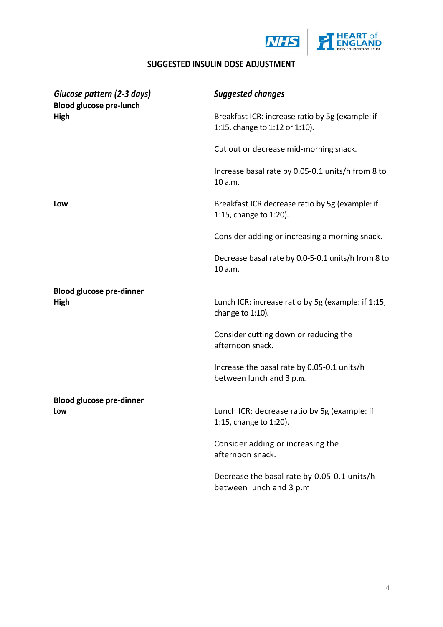



# **SUGGESTED INSULIN DOSE ADJUSTMENT**

| Glucose pattern (2-3 days)<br><b>Blood glucose pre-lunch</b><br>High | <b>Suggested changes</b>                                                           |
|----------------------------------------------------------------------|------------------------------------------------------------------------------------|
|                                                                      | Breakfast ICR: increase ratio by 5g (example: if<br>1:15, change to 1:12 or 1:10). |
|                                                                      | Cut out or decrease mid-morning snack.                                             |
|                                                                      | Increase basal rate by 0.05-0.1 units/h from 8 to<br>10 a.m.                       |
| Low                                                                  | Breakfast ICR decrease ratio by 5g (example: if<br>1:15, change to 1:20).          |
|                                                                      | Consider adding or increasing a morning snack.                                     |
|                                                                      | Decrease basal rate by 0.0-5-0.1 units/h from 8 to<br>10 a.m.                      |
| <b>Blood glucose pre-dinner</b>                                      |                                                                                    |
| High                                                                 | Lunch ICR: increase ratio by 5g (example: if 1:15,<br>change to 1:10).             |
|                                                                      | Consider cutting down or reducing the<br>afternoon snack.                          |
|                                                                      | Increase the basal rate by 0.05-0.1 units/h<br>between lunch and 3 p.m.            |
| <b>Blood glucose pre-dinner</b>                                      |                                                                                    |
| Low                                                                  | Lunch ICR: decrease ratio by 5g (example: if<br>1:15, change to 1:20).             |
|                                                                      | Consider adding or increasing the<br>afternoon snack.                              |
|                                                                      | Decrease the basal rate by 0.05-0.1 units/h<br>between lunch and 3 p.m             |